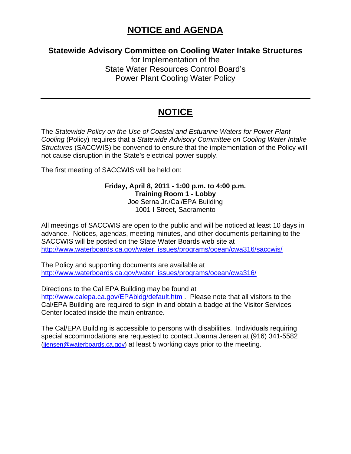## **NOTICE and AGENDA**

#### **Statewide Advisory Committee on Cooling Water Intake Structures**

for Implementation of the State Water Resources Control Board's Power Plant Cooling Water Policy

### **NOTICE**

The *Statewide Policy on the Use of Coastal and Estuarine Waters for Power Plant Cooling* (Policy) requires that a *Statewide Advisory Committee on Cooling Water Intake Structures* (SACCWIS) be convened to ensure that the implementation of the Policy will not cause disruption in the State's electrical power supply.

The first meeting of SACCWIS will be held on:

**Friday, April 8, 2011 - 1:00 p.m. to 4:00 p.m. Training Room 1 - Lobby**  Joe Serna Jr./Cal/EPA Building 1001 I Street, Sacramento

All meetings of SACCWIS are open to the public and will be noticed at least 10 days in advance. Notices, agendas, meeting minutes, and other documents pertaining to the SACCWIS will be posted on the State Water Boards web site at http://www.waterboards.ca.gov/water\_issues/programs/ocean/cwa316/saccwis/

The Policy and supporting documents are available at [http://www.waterboards.ca.gov/water\\_issues/programs/ocean/cwa316/](http://www.waterboards.ca.gov/water_issues/programs/ocean/cwa316/)

Directions to the Cal EPA Building may be found at

<http://www.calepa.ca.gov/EPAbldg/default.htm> . Please note that all visitors to the Cal/EPA Building are required to sign in and obtain a badge at the Visitor Services Center located inside the main entrance.

The Cal/EPA Building is accessible to persons with disabilities. Individuals requiring special accommodations are requested to contact Joanna Jensen at (916) 341-5582 ([jjensen@waterboards.ca.gov\)](mailto:jjensen@waterboards.ca.gov) at least 5 working days prior to the meeting.